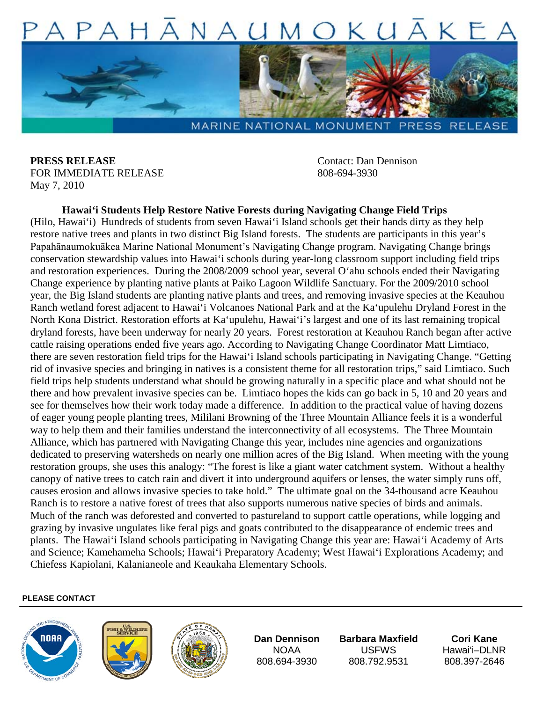

**PRESS RELEASE** Contact: Dan Dennison FOR IMMEDIATE RELEASE 808-694-3930 May 7, 2010

## **Hawai'i Students Help Restore Native Forests during Navigating Change Field Trips**

(Hilo, Hawai'i) Hundreds of students from seven Hawai'i Island schools get their hands dirty as they help restore native trees and plants in two distinct Big Island forests. The students are participants in this year's Papahānaumokuākea Marine National Monument's Navigating Change program. Navigating Change brings conservation stewardship values into Hawai'i schools during year-long classroom support including field trips and restoration experiences. During the 2008/2009 school year, several O'ahu schools ended their Navigating Change experience by planting native plants at Paiko Lagoon Wildlife Sanctuary. For the 2009/2010 school year, the Big Island students are planting native plants and trees, and removing invasive species at the Keauhou Ranch wetland forest adjacent to Hawai'i Volcanoes National Park and at the Ka'upulehu Dryland Forest in the North Kona District. Restoration efforts at Ka'upulehu, Hawai'i's largest and one of its last remaining tropical dryland forests, have been underway for nearly 20 years. Forest restoration at Keauhou Ranch began after active cattle raising operations ended five years ago. According to Navigating Change Coordinator Matt Limtiaco, there are seven restoration field trips for the Hawai'i Island schools participating in Navigating Change. "Getting rid of invasive species and bringing in natives is a consistent theme for all restoration trips," said Limtiaco. Such field trips help students understand what should be growing naturally in a specific place and what should not be there and how prevalent invasive species can be. Limtiaco hopes the kids can go back in 5, 10 and 20 years and see for themselves how their work today made a difference. In addition to the practical value of having dozens of eager young people planting trees, Mililani Browning of the Three Mountain Alliance feels it is a wonderful way to help them and their families understand the interconnectivity of all ecosystems. The Three Mountain Alliance, which has partnered with Navigating Change this year, includes nine agencies and organizations dedicated to preserving watersheds on nearly one million acres of the Big Island. When meeting with the young restoration groups, she uses this analogy: "The forest is like a giant water catchment system. Without a healthy canopy of native trees to catch rain and divert it into underground aquifers or lenses, the water simply runs off, causes erosion and allows invasive species to take hold." The ultimate goal on the 34-thousand acre Keauhou Ranch is to restore a native forest of trees that also supports numerous native species of birds and animals. Much of the ranch was deforested and converted to pastureland to support cattle operations, while logging and grazing by invasive ungulates like feral pigs and goats contributed to the disappearance of endemic trees and plants. The Hawai'i Island schools participating in Navigating Change this year are: Hawai'i Academy of Arts and Science; Kamehameha Schools; Hawai'i Preparatory Academy; West Hawai'i Explorations Academy; and Chiefess Kapiolani, Kalanianeole and Keaukaha Elementary Schools.

## **PLEASE CONTACT**







**Dan Dennison** NOAA 808.694-3930

**Barbara Maxfield**  USFWS 808.792.9531

**Cori Kane** Hawai'i–DLNR 808.397-2646